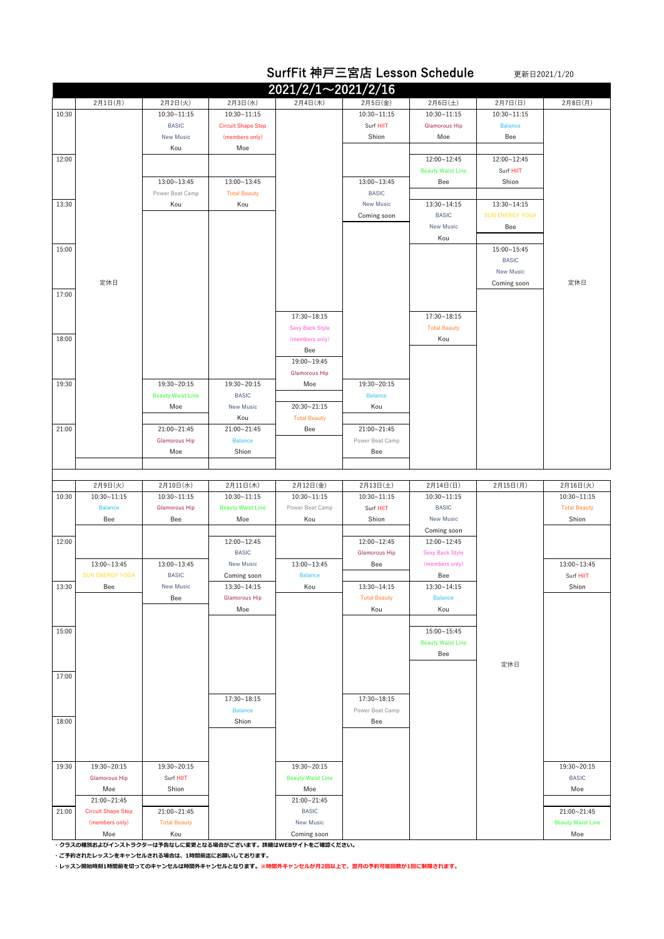|       |                           |                                 |                                  |                                           |                                     | SurfFit 神戸三宮店 Lesson Schedule         |                        | 更新日2021/1/20             |
|-------|---------------------------|---------------------------------|----------------------------------|-------------------------------------------|-------------------------------------|---------------------------------------|------------------------|--------------------------|
|       |                           |                                 |                                  | $2021/2/1 \sim 2021/2/16$                 |                                     |                                       |                        |                          |
|       | 2月1日(月)                   | 2月2日(火)                         | 2月3日(水)                          | 2月4日(木)                                   | 2月5日(金)                             | 2月6日(土)                               | 2月7日(日)                | 2月8日(月)                  |
| 10:30 |                           | $10:30 - 11:15$                 | 10:30~11:15                      |                                           | $10:30 - 11:15$                     | $10:30 - 11:15$                       | 10:30~11:15            |                          |
|       |                           | <b>BASIC</b>                    | <b>Circuit Shape Step</b>        |                                           | Surf HIIT                           | <b>Glamorous Hip</b>                  | <b>Balance</b>         |                          |
|       |                           | <b>New Music</b>                | (members only)                   |                                           | Shion                               | Moe                                   | Bee                    |                          |
| 12:00 |                           | Kou                             | Moe                              |                                           |                                     | 12:00~12:45                           | 12:00~12:45            |                          |
|       |                           |                                 |                                  |                                           |                                     | <b>Beauty Waist Line</b>              | Surf HIIT              |                          |
|       |                           | 13:00~13:45                     | 13:00~13:45                      |                                           | 13:00~13:45                         | Bee                                   | Shion                  |                          |
|       |                           | Power Beat Camp                 | <b>Total Beauty</b>              |                                           | <b>BASIC</b>                        |                                       |                        |                          |
| 13:30 |                           | Kou                             | Kou                              |                                           | <b>New Music</b>                    | 13:30~14:15                           | 13:30~14:15            |                          |
|       |                           |                                 |                                  |                                           | Coming soon                         | <b>BASIC</b>                          | <b>SUN ENERGY YOGA</b> |                          |
|       |                           |                                 |                                  |                                           |                                     | <b>New Music</b><br>Kou               | Bee                    |                          |
| 15:00 |                           |                                 |                                  |                                           |                                     |                                       | 15:00~15:45            |                          |
|       |                           |                                 |                                  |                                           |                                     |                                       | <b>BASIC</b>           |                          |
|       |                           |                                 |                                  |                                           |                                     |                                       | <b>New Music</b>       |                          |
|       | 定休日                       |                                 |                                  |                                           |                                     |                                       | Coming soon            | 定休日                      |
| 17:00 |                           |                                 |                                  |                                           |                                     |                                       |                        |                          |
|       |                           |                                 |                                  |                                           |                                     |                                       |                        |                          |
|       |                           |                                 |                                  | $17:30 - 18:15$<br><b>Sexy Back Style</b> |                                     | 17:30~18:15<br><b>Total Beauty</b>    |                        |                          |
| 18:00 |                           |                                 |                                  | (members only)                            |                                     | Kou                                   |                        |                          |
|       |                           |                                 |                                  | Bee                                       |                                     |                                       |                        |                          |
|       |                           |                                 |                                  | 19:00~19:45                               |                                     |                                       |                        |                          |
|       |                           |                                 |                                  | <b>Glamorous Hip</b>                      |                                     |                                       |                        |                          |
| 19:30 |                           | 19:30~20:15                     | 19:30~20:15                      | Moe                                       | 19:30~20:15                         |                                       |                        |                          |
|       |                           | <b>Beauty Waist Line</b><br>Moe | <b>BASIC</b><br><b>New Music</b> | 20:30~21:15                               | <b>Balance</b><br>Kou               |                                       |                        |                          |
|       |                           |                                 | Kou                              | <b>Total Beauty</b>                       |                                     |                                       |                        |                          |
| 21:00 |                           | 21:00~21:45                     | 21:00~21:45                      | Bee                                       | 21:00~21:45                         |                                       |                        |                          |
|       |                           | <b>Glamorous Hip</b>            | <b>Balance</b>                   |                                           | Power Beat Camp                     |                                       |                        |                          |
|       |                           | Moe                             | Shion                            |                                           | Bee                                 |                                       |                        |                          |
|       |                           |                                 |                                  |                                           |                                     |                                       |                        |                          |
|       | 2月9日(火)                   | 2月10日(水)                        | 2月11日(木)                         | 2月12日(金)                                  | 2月13日(土)                            | 2月14日(日)                              | 2月15日(月)               | 2月16日(火)                 |
| 10:30 | $10:30 - 11:15$           | $10:30 - 11:15$                 | $10:30 - 11:15$                  | $10:30 - 11:15$                           | $10:30 - 11:15$                     | $10:30 - 11:15$                       |                        | $10:30 - 11:15$          |
|       | <b>Balance</b>            | <b>Glamorous Hip</b>            | <b>Beauty Waist Line</b>         | Power Beat Camp                           | Surf HIIT                           | <b>BASIC</b>                          |                        | <b>Total Beauty</b>      |
|       | Bee                       | Bee                             | Moe                              | Kou                                       | Shion                               | <b>New Music</b>                      |                        | Shion                    |
|       |                           |                                 | 12:00~12:45                      |                                           |                                     | Coming soon                           |                        |                          |
| 12:00 |                           |                                 | <b>BASIC</b>                     |                                           | 12:00~12:45<br><b>Glamorous Hip</b> | 12:00~12:45<br><b>Sexy Back Style</b> |                        |                          |
|       | 13:00~13:45               | 13:00~13:45                     | New Music                        | 13:00~13:45                               | Bee                                 | (members only)                        |                        | 13:00~13:45              |
|       | <b>SUN ENERGY YOGA</b>    | <b>BASIC</b>                    | Coming soon                      | <b>Balance</b>                            |                                     | Bee                                   |                        | Surf HIIT                |
| 13:30 | Bee                       | <b>New Music</b>                | 13:30~14:15                      | Kou                                       | 13:30~14:15                         | 13:30~14:15                           |                        | Shion                    |
|       |                           | Bee                             | <b>Glamorous Hip</b>             |                                           | <b>Total Beauty</b>                 | <b>Balance</b>                        |                        |                          |
|       |                           |                                 | Moe                              |                                           | Kou                                 | Kou                                   |                        |                          |
| 15:00 |                           |                                 |                                  |                                           |                                     | 15:00~15:45                           |                        |                          |
|       |                           |                                 |                                  |                                           |                                     | <b>Beauty Waist Line</b>              |                        |                          |
|       |                           |                                 |                                  |                                           |                                     | Bee                                   |                        |                          |
|       |                           |                                 |                                  |                                           |                                     |                                       | 定休日                    |                          |
| 17:00 |                           |                                 |                                  |                                           |                                     |                                       |                        |                          |
|       |                           |                                 | 17:30~18:15                      |                                           | 17:30~18:15                         |                                       |                        |                          |
|       |                           |                                 | <b>Balance</b>                   |                                           | Power Beat Camp                     |                                       |                        |                          |
| 18:00 |                           |                                 | Shion                            |                                           | Bee                                 |                                       |                        |                          |
|       |                           |                                 |                                  |                                           |                                     |                                       |                        |                          |
|       |                           |                                 |                                  |                                           |                                     |                                       |                        |                          |
| 19:30 | 19:30~20:15               | 19:30~20:15                     |                                  | 19:30~20:15                               |                                     |                                       |                        | 19:30~20:15              |
|       | <b>Glamorous Hip</b>      | Surf HIIT                       |                                  | <b>Beauty Waist Line</b>                  |                                     |                                       |                        | <b>BASIC</b>             |
|       | Moe                       | Shion                           |                                  | Moe                                       |                                     |                                       |                        | Moe                      |
|       | 21:00~21:45               |                                 |                                  | 21:00~21:45                               |                                     |                                       |                        |                          |
| 21:00 | <b>Circuit Shape Step</b> | 21:00~21:45                     |                                  | <b>BASIC</b>                              |                                     |                                       |                        | 21:00~21:45              |
|       | (members only)            | <b>Total Beauty</b>             |                                  | <b>New Music</b>                          |                                     |                                       |                        | <b>Beauty Waist Line</b> |
|       | Moe                       | Kou                             |                                  | Coming soon                               |                                     |                                       |                        | Moe                      |

**・クラスの種別およびインストラクターは予告なしに変更となる場合がございます。詳細はWEBサイトをご確認ください。**

**・ご予約されたレッスンをキャンセルされる場合は、1時間前迄にお願いしております。**

**・レッスン開始時刻1時間前を切ってのキャンセルは時間外キャンセルとなります。※時間外キャンセルが月2回以上で、翌月の予約可能回数が1回に制限されます。**